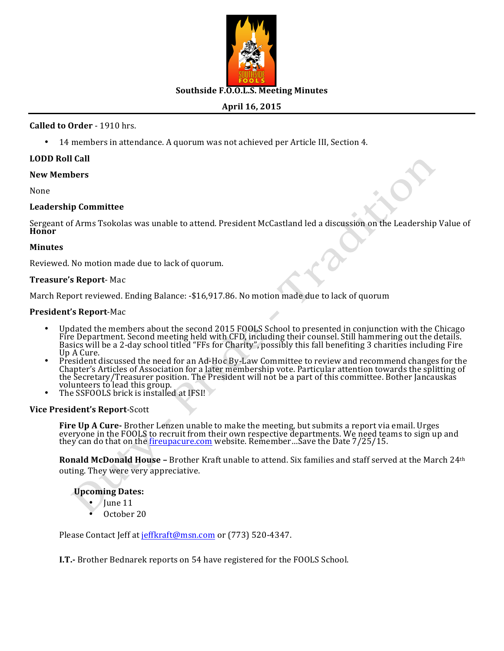

## **Southside F.O.O.L.S. Meeting Minutes**

# **April 16, 2015**

## **Called to Order** - 1910 hrs.

14 members in attendance. A quorum was not achieved per Article III, Section 4.

## **LODD Roll Call**

#### **New Members**

None

## **Leadership Committee**

Sergeant of Arms Tsokolas was unable to attend. President McCastland led a discussion on the Leadership Value of<br>**Honor** 

#### **Minutes**

Reviewed. No motion made due to lack of quorum.

#### **Treasure's Report**- Mac

March Report reviewed. Ending Balance: -\$16,917.86. No motion made due to lack of quorum

#### **President's Report-Mac**

- Updated the members about the second 2015 FOOLS School to presented in conjunction with the Chicago Fire Department. Second meeting held with CFD, including their counsel. Still hammering out the details.<br>Basics will be a 2-day school titled "FFs for Charity", possibly this fall benefiting 3 charities including Fire<br>Up A
- Chapter's Articles of Association for a later membership vote. Particular attention towards the splitting of<br>the Secretary/Treasurer position. The President will not be a part of this committee. Bother Jancauskas volunteers to lead this group.
- The SSFOOLS brick is installed at IFSI!

#### **Vice President's Report-Scott**

**Fire Up A Cure-** Brother Lenzen unable to make the meeting, but submits a report via email. Urges everyone in the FOOLS to recruit from their own respective departments. We need teams to sign up and they can do that on the <u>fireupacure.com</u> website. Remember...Save the Date 7/25/15.

**Ronald McDonald House** – Brother Kraft unable to attend. Six families and staff served at the March 24<sup>th</sup> outing. They were very appreciative.

## **Upcoming Dates:**

- June 11
- October 20

Please Contact Jeff at jeffkraft@msn.com or (773) 520-4347.

**I.T.**- Brother Bednarek reports on 54 have registered for the FOOLS School.